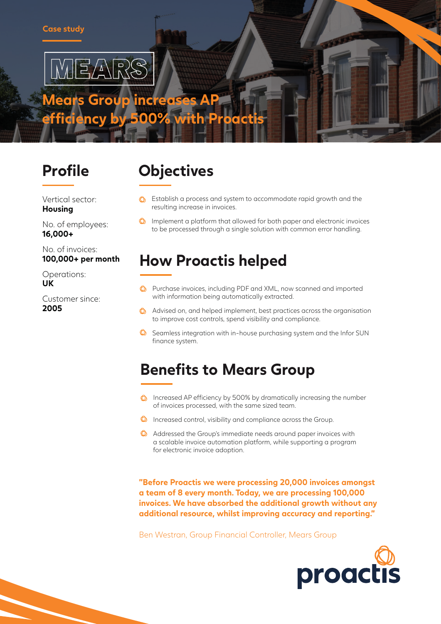

Vertical sector: **Housing**

No. of employees: **16,000+**

No. of invoices: **100,000+ per month**

Operations: **UK**

Customer since: **2005**

# **Profile Objectives**

- G Establish a process and system to accommodate rapid growth and the resulting increase in invoices.
- **IM** Implement a platform that allowed for both paper and electronic invoices to be processed through a single solution with common error handling.

#### **How Proactis helped**

- Purchase invoices, including PDF and XML, now scanned and imported with information being automatically extracted.
- **C** Advised on, and helped implement, best practices across the organisation to improve cost controls, spend visibility and compliance.
- Seamless integration with in-house purchasing system and the Infor SUN finance system.

#### **Benefits to Mears Group**

- **O** Increased AP efficiency by 500% by dramatically increasing the number of invoices processed, with the same sized team.
- $\bigcirc$  Increased control, visibility and compliance across the Group.
- $\bigcirc$  Addressed the Group's immediate needs around paper invoices with a scalable invoice automation platform, while supporting a program for electronic invoice adoption.

**"Before Proactis we were processing 20,000 invoices amongst a team of 8 every month. Today, we are processing 100,000 invoices. We have absorbed the additional growth without any additional resource, whilst improving accuracy and reporting."**

Ben Westran, Group Financial Controller, Mears Group